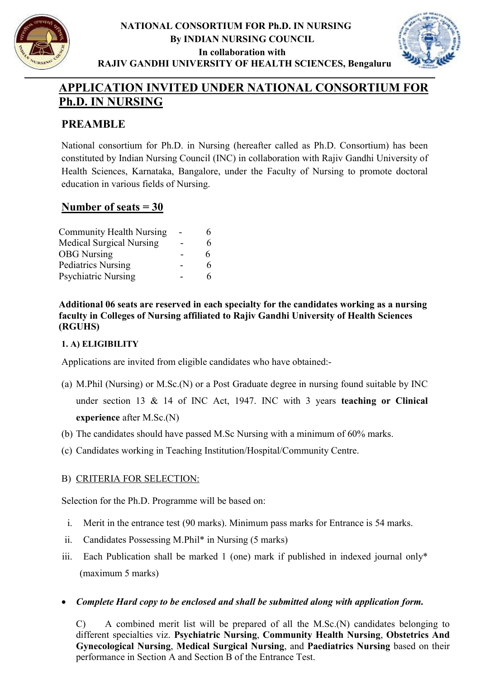

## NATIONAL CONSORTIUM FOR Ph.D. IN NURSING By INDIAN NURSING COUNCIL In collaboration with RAJIV GANDHI UNIVERSITY OF HEALTH SCIENCES, Bengaluru



## APPLICATION INVITED UNDER NATIONAL CONSORTIUM FOR Ph.D. IN NURSING

## PREAMBLE

National consortium for Ph.D. in Nursing (hereafter called as Ph.D. Consortium) has been constituted by Indian Nursing Council (INC) in collaboration with Rajiv Gandhi University of Health Sciences, Karnataka, Bangalore, under the Faculty of Nursing to promote doctoral education in various fields of Nursing.

## Number of seats = 30

| <b>Community Health Nursing</b> | 6 |
|---------------------------------|---|
| <b>Medical Surgical Nursing</b> | 6 |
| <b>OBG</b> Nursing              | 6 |
| <b>Pediatrics Nursing</b>       | 6 |
| <b>Psychiatric Nursing</b>      | 6 |

Additional 06 seats are reserved in each specialty for the candidates working as a nursing faculty in Colleges of Nursing affiliated to Rajiv Gandhi University of Health Sciences (RGUHS)

## 1. A) ELIGIBILITY

Applications are invited from eligible candidates who have obtained:-

- (a) M.Phil (Nursing) or M.Sc.(N) or a Post Graduate degree in nursing found suitable by INC under section 13 & 14 of INC Act, 1947. INC with 3 years teaching or Clinical experience after M.Sc.(N)
- (b) The candidates should have passed M.Sc Nursing with a minimum of 60% marks.
- (c) Candidates working in Teaching Institution/Hospital/Community Centre.

## B) CRITERIA FOR SELECTION:

Selection for the Ph.D. Programme will be based on:

- i. Merit in the entrance test (90 marks). Minimum pass marks for Entrance is 54 marks.
- ii. Candidates Possessing M.Phil\* in Nursing (5 marks)
- iii. Each Publication shall be marked 1 (one) mark if published in indexed journal only\* (maximum 5 marks)
- Complete Hard copy to be enclosed and shall be submitted along with application form.

C) A combined merit list will be prepared of all the M.Sc.(N) candidates belonging to different specialties viz. Psychiatric Nursing, Community Health Nursing, Obstetrics And Gynecological Nursing, Medical Surgical Nursing, and Paediatrics Nursing based on their performance in Section A and Section B of the Entrance Test.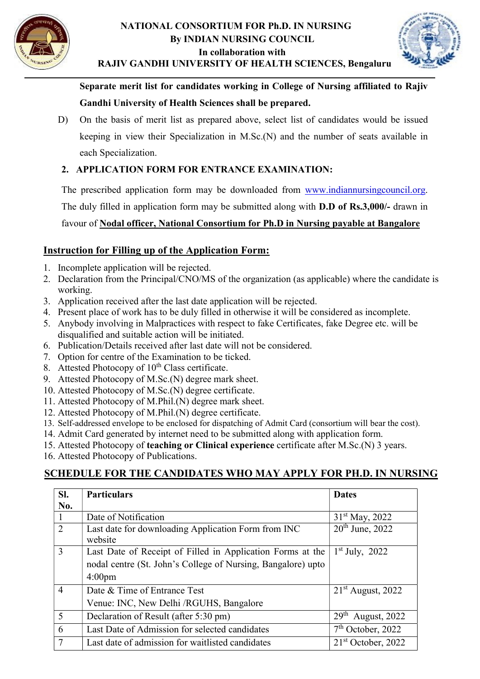



RAJIV GANDHI UNIVERSITY OF HEALTH SCIENCES, Bengaluru

Separate merit list for candidates working in College of Nursing affiliated to Rajiv Gandhi University of Health Sciences shall be prepared.

D) On the basis of merit list as prepared above, select list of candidates would be issued keeping in view their Specialization in M.Sc.(N) and the number of seats available in each Specialization.

## 2. APPLICATION FORM FOR ENTRANCE EXAMINATION:

The prescribed application form may be downloaded from www.indiannursingcouncil.org.

The duly filled in application form may be submitted along with D.D of Rs.3,000/- drawn in

favour of Nodal officer, National Consortium for Ph.D in Nursing payable at Bangalore

## Instruction for Filling up of the Application Form:

- 1. Incomplete application will be rejected.
- 2. Declaration from the Principal/CNO/MS of the organization (as applicable) where the candidate is working.
- 3. Application received after the last date application will be rejected.
- 4. Present place of work has to be duly filled in otherwise it will be considered as incomplete.
- 5. Anybody involving in Malpractices with respect to fake Certificates, fake Degree etc. will be disqualified and suitable action will be initiated.
- 6. Publication/Details received after last date will not be considered.
- 7. Option for centre of the Examination to be ticked.
- 8. Attested Photocopy of  $10<sup>th</sup>$  Class certificate.
- 9. Attested Photocopy of M.Sc.(N) degree mark sheet.
- 10. Attested Photocopy of M.Sc.(N) degree certificate.
- 11. Attested Photocopy of M.Phil.(N) degree mark sheet.
- 12. Attested Photocopy of M.Phil.(N) degree certificate.
- 13. Self-addressed envelope to be enclosed for dispatching of Admit Card (consortium will bear the cost).
- 14. Admit Card generated by internet need to be submitted along with application form.
- 15. Attested Photocopy of teaching or Clinical experience certificate after M.Sc.(N) 3 years.
- 16. Attested Photocopy of Publications.

## SCHEDULE FOR THE CANDIDATES WHO MAY APPLY FOR PH.D. IN NURSING

| SI.            | <b>Particulars</b>                                           | <b>Dates</b>                            |
|----------------|--------------------------------------------------------------|-----------------------------------------|
| No.            |                                                              |                                         |
|                | Date of Notification                                         | $31st$ May, 2022                        |
| 2              | Last date for downloading Application Form from INC          | $20^{th}$ June, 2022                    |
|                | website                                                      |                                         |
| 3              | Last Date of Receipt of Filled in Application Forms at the   | $1st$ July, 2022                        |
|                | nodal centre (St. John's College of Nursing, Bangalore) upto |                                         |
|                | $4:00 \text{pm}$                                             |                                         |
| $\overline{4}$ | Date & Time of Entrance Test                                 | $21st$ August, 2022                     |
|                | Venue: INC, New Delhi / RGUHS, Bangalore                     |                                         |
| 5              | Declaration of Result (after 5:30 pm)                        | 29 <sup>th</sup><br><b>August, 2022</b> |
| 6              | Last Date of Admission for selected candidates               | $7th$ October, 2022                     |
| 7              | Last date of admission for waitlisted candidates             | $21st$ October, 2022                    |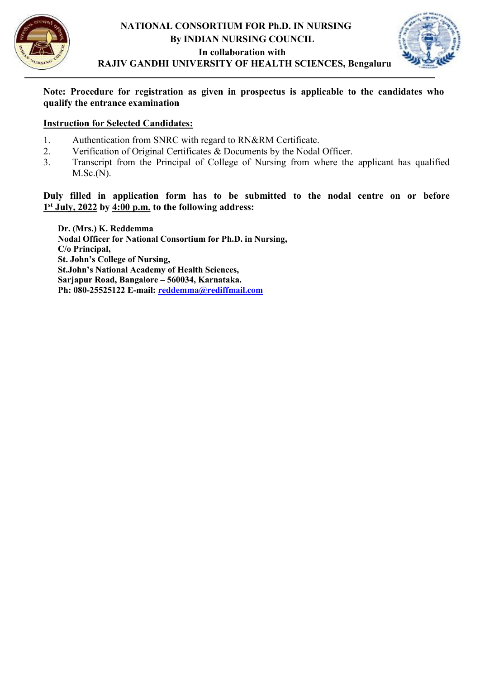



RAJIV GANDHI UNIVERSITY OF HEALTH SCIENCES, Bengaluru

#### Note: Procedure for registration as given in prospectus is applicable to the candidates who qualify the entrance examination

#### Instruction for Selected Candidates:

- 1. Authentication from SNRC with regard to RN&RM Certificate.
- 2. Verification of Original Certificates & Documents by the Nodal Officer.
- 3. Transcript from the Principal of College of Nursing from where the applicant has qualified M.Sc.(N).

### Duly filled in application form has to be submitted to the nodal centre on or before 1<sup>st</sup> July, 2022 by 4:00 p.m. to the following address:

Dr. (Mrs.) K. Reddemma Nodal Officer for National Consortium for Ph.D. in Nursing, C/o Principal, St. John's College of Nursing, St.John's National Academy of Health Sciences, Sarjapur Road, Bangalore – 560034, Karnataka. Ph: 080-25525122 E-mail: reddemma@rediffmail.com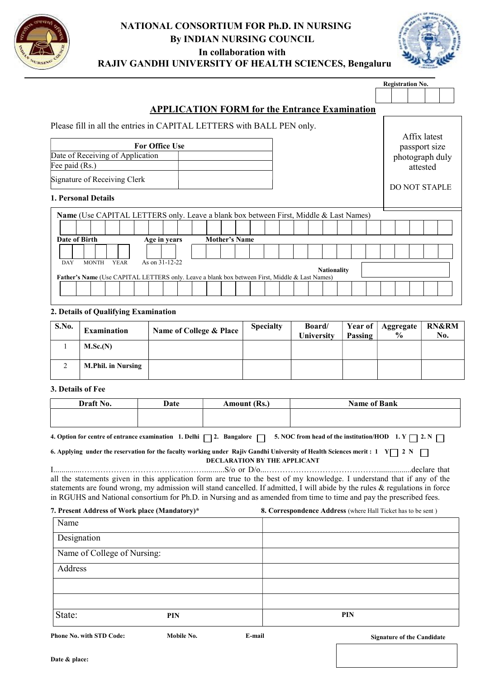



## RAJIV GANDHI UNIVERSITY OF HEALTH SCIENCES, Bengaluru

Registration No.

|                                                                                                |                      | <b>APPLICATION FORM for the Entrance Examination</b> |                      |  |  |
|------------------------------------------------------------------------------------------------|----------------------|------------------------------------------------------|----------------------|--|--|
| Please fill in all the entries in CAPITAL LETTERS with BALL PEN only.                          |                      |                                                      | Affix latest         |  |  |
| <b>For Office Use</b>                                                                          |                      |                                                      | passport size        |  |  |
| Date of Receiving of Application                                                               |                      |                                                      | photograph duly      |  |  |
| Fee paid (Rs.)                                                                                 |                      |                                                      | attested             |  |  |
| Signature of Receiving Clerk                                                                   |                      |                                                      | <b>DO NOT STAPLE</b> |  |  |
| <b>1. Personal Details</b>                                                                     |                      |                                                      |                      |  |  |
| <b>Name</b> (Use CAPITAL LETTERS only. Leave a blank box between First, Middle & Last Names)   |                      |                                                      |                      |  |  |
|                                                                                                |                      |                                                      |                      |  |  |
| Date of Birth<br>Age in years                                                                  | <b>Mother's Name</b> |                                                      |                      |  |  |
|                                                                                                |                      |                                                      |                      |  |  |
| As on 31-12-22<br><b>DAY</b><br><b>MONTH</b><br><b>YEAR</b>                                    |                      | <b>Nationality</b>                                   |                      |  |  |
| Father's Name (Use CAPITAL LETTERS only. Leave a blank box between First, Middle & Last Names) |                      |                                                      |                      |  |  |
|                                                                                                |                      |                                                      |                      |  |  |

#### 2. Details of Qualifying Examination

| S.No. | <b>Examination</b>        | Name of College & Place | <b>Specialty</b> | <b>Board</b><br>University | Year of<br>Passing | Aggregate<br>$\frac{0}{0}$ | <b>RN&amp;RM</b><br>No. |
|-------|---------------------------|-------------------------|------------------|----------------------------|--------------------|----------------------------|-------------------------|
|       | M.Sc.(N)                  |                         |                  |                            |                    |                            |                         |
| ◠     | <b>M.Phil. in Nursing</b> |                         |                  |                            |                    |                            |                         |

#### 3. Details of Fee

| Draft No. | Date | Amount (Rs.) | <b>Name of Bank</b> |
|-----------|------|--------------|---------------------|
|           |      |              |                     |
|           |      |              |                     |

4. Option for centre of entrance examination 1. Delhi  $\Box$  2. Bangalore  $\Box$  5. NOC from head of the institution/HOD 1. Y  $\Box$  2. N  $\Box$ 

6. Applying under the reservation for the faculty working under Rajiv Gandhi University of Health Sciences merit : 1 Y | 2 N | | DECLARATION BY THE APPLICANT

I..............………………………………….……..........S/o or D/o...……………………………………................declare that all the statements given in this application form are true to the best of my knowledge. I understand that if any of the statements are found wrong, my admission will stand cancelled. If admitted, I will abide by the rules & regulations in force in RGUHS and National consortium for Ph.D. in Nursing and as amended from time to time and pay the prescribed fees.

| 8. Correspondence Address (where Hall Ticket has to be sent) |
|--------------------------------------------------------------|
|                                                              |
|                                                              |
|                                                              |
|                                                              |
|                                                              |
|                                                              |
| PIN                                                          |
|                                                              |

Phone No. with STD Code: Mobile No. E-mail

Signature of the Candidate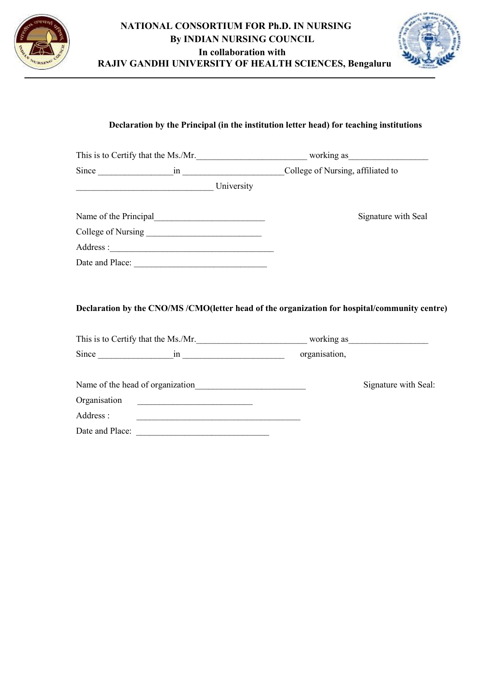

## NATIONAL CONSORTIUM FOR Ph.D. IN NURSING By INDIAN NURSING COUNCIL In collaboration with RAJIV GANDHI UNIVERSITY OF HEALTH SCIENCES, Bengaluru



## Declaration by the Principal (in the institution letter head) for teaching institutions

|           |                 | This is to Certify that the Ms./Mr.                                                                                                 |                      |
|-----------|-----------------|-------------------------------------------------------------------------------------------------------------------------------------|----------------------|
|           |                 |                                                                                                                                     |                      |
|           | University      |                                                                                                                                     |                      |
|           |                 |                                                                                                                                     | Signature with Seal  |
|           |                 |                                                                                                                                     |                      |
|           |                 |                                                                                                                                     |                      |
|           |                 |                                                                                                                                     |                      |
|           |                 | Declaration by the CNO/MS/CMO(letter head of the organization for hospital/community centre)<br>This is to Certify that the Ms./Mr. |                      |
|           |                 |                                                                                                                                     |                      |
|           |                 |                                                                                                                                     | Signature with Seal: |
|           |                 |                                                                                                                                     |                      |
| Address : |                 |                                                                                                                                     |                      |
|           | Date and Place: |                                                                                                                                     |                      |